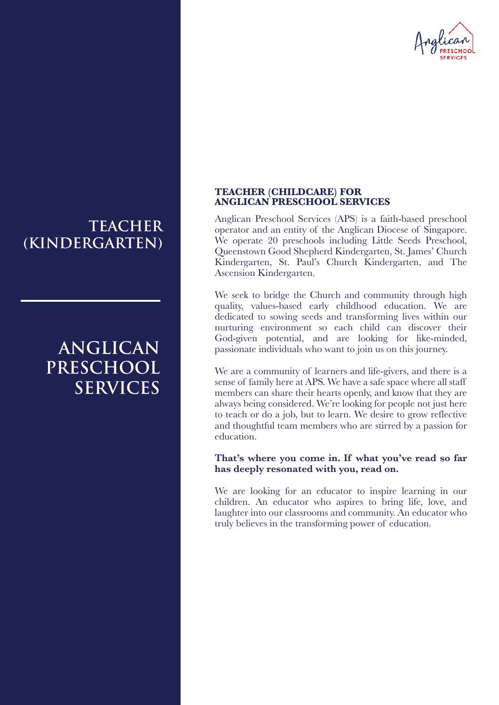

# **TEACHER (KINDERGARTEN)**

# **ANGLICAN PRESCHOOL SERVICES**

### **TEACHER (CHILDCARE) FOR ANGLICAN PRESCHOOL SERVICES**

Anglican Preschool Services (APS) is a faith-based preschool operator and an entity of the Anglican Diocese of Singapore. We operate 20 preschools including Little Seeds Preschool, Queenstown Good Shepherd Kindergarten, St. James' Church Kindergarten, St. Paul's Church Kindergarten, and The Ascension Kindergarten.

We seek to bridge the Church and community through high quality, values-based early childhood education. We are dedicated to sowing seeds and transforming lives within our nurturing environment so each child can discover their God-given potential, and are looking for like-minded, passionate individuals who want to join us on this journey.

We are a community of learners and life-givers, and there is a sense of family here at APS. We have a safe space where all staff members can share their hearts openly, and know that they are always being considered. We're looking for people not just here to teach or do a job, but to learn. We desire to grow reflective and thoughtful team members who are stirred by a passion for education.

### **That's where you come in. If what you've read so far has deeply resonated with you, read on.**

We are looking for an educator to inspire learning in our children. An educator who aspires to bring life, love, and laughter into our classrooms and community. An educator who truly believes in the transforming power of education.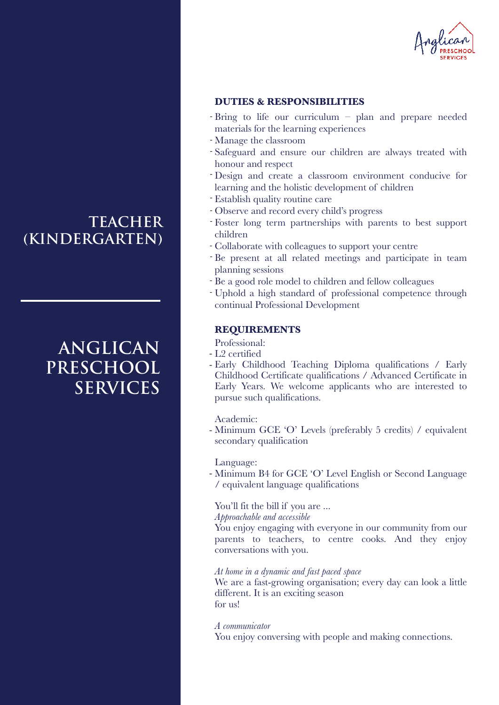

### **DUTIES & RESPONSIBILITIES**

- Bring to life our curriculum plan and prepare needed materials for the learning experiences
- Manage the classroom -
- Safeguard and ensure our children are always treated with honour and respect
- Design and create a classroom environment conducive for learning and the holistic development of children
- Establish quality routine care -
- Observe and record every child's progress -
- Foster long term partnerships with parents to best support children
- Collaborate with colleagues to support your centre
- Be present at all related meetings and participate in team planning sessions
- Be a good role model to children and fellow colleagues
- Uphold a high standard of professional competence through continual Professional Development

## **REQUIREMENTS**

Professional:

- L2 certified
- Early Childhood Teaching Diploma qualifications / Early Childhood Certificate qualifications / Advanced Certificate in Early Years. We welcome applicants who are interested to pursue such qualifications.

Academic:

- Minimum GCE 'O' Levels (preferably 5 credits) / equivalent secondary qualification

Language:

- Minimum B4 for GCE 'O' Level English or Second Language / equivalent language qualifications

### You'll fit the bill if you are ...

*Approachable and accessible*

You enjoy engaging with everyone in our community from our parents to teachers, to centre cooks. And they enjoy conversations with you.

### *At home in a dynamic and fast paced space*

We are a fast-growing organisation; every day can look a little different. It is an exciting season for us!

*A communicator*

You enjoy conversing with people and making connections.

# **TEACHER (KINDERGARTEN)**

# **ANGLICAN PRESCHOOL SERVICES**